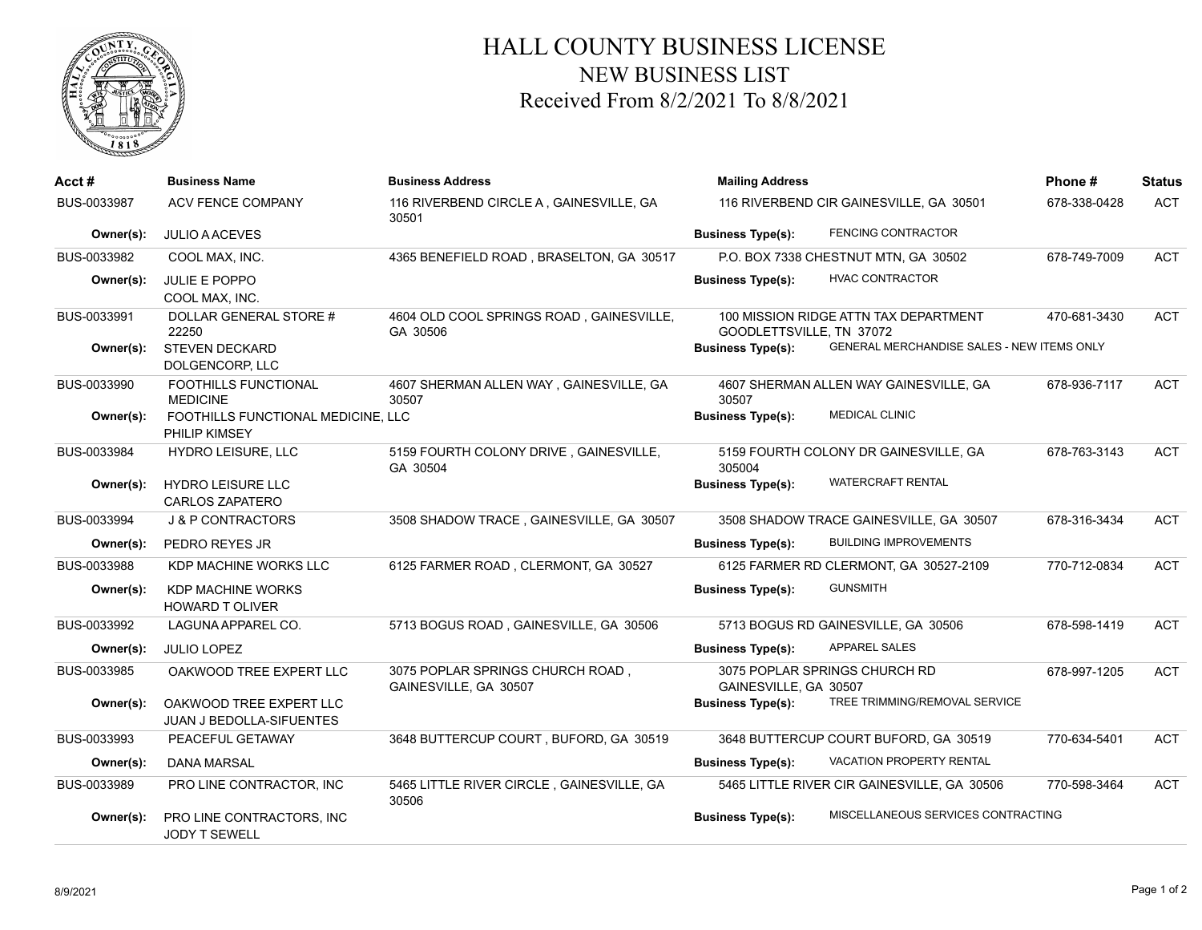

## HALL COUNTY BUSINESS LICENSE NEW BUSINESS LIST Received From 8/2/2021 To 8/8/2021

| Acct #      | <b>Business Name</b>                                       | <b>Business Address</b>                                   | <b>Mailing Address</b><br>116 RIVERBEND CIR GAINESVILLE, GA 30501 |                                             | Phone#       | <b>Status</b> |
|-------------|------------------------------------------------------------|-----------------------------------------------------------|-------------------------------------------------------------------|---------------------------------------------|--------------|---------------|
| BUS-0033987 | <b>ACV FENCE COMPANY</b>                                   | 116 RIVERBEND CIRCLE A, GAINESVILLE, GA<br>30501          |                                                                   |                                             | 678-338-0428 | <b>ACT</b>    |
| Owner(s):   | <b>JULIO A ACEVES</b>                                      |                                                           | <b>Business Type(s):</b>                                          | <b>FENCING CONTRACTOR</b>                   |              |               |
| BUS-0033982 | COOL MAX, INC.                                             | 4365 BENEFIELD ROAD, BRASELTON, GA 30517                  |                                                                   | P.O. BOX 7338 CHESTNUT MTN, GA 30502        | 678-749-7009 | <b>ACT</b>    |
| Owner(s):   | <b>JULIE E POPPO</b><br>COOL MAX, INC.                     |                                                           | <b>Business Type(s):</b>                                          | <b>HVAC CONTRACTOR</b>                      |              |               |
| BUS-0033991 | DOLLAR GENERAL STORE #<br>22250                            | 4604 OLD COOL SPRINGS ROAD, GAINESVILLE,<br>GA 30506      | GOODLETTSVILLE, TN 37072                                          | 100 MISSION RIDGE ATTN TAX DEPARTMENT       | 470-681-3430 | <b>ACT</b>    |
| Owner(s):   | <b>STEVEN DECKARD</b><br>DOLGENCORP, LLC                   |                                                           | <b>Business Type(s):</b>                                          | GENERAL MERCHANDISE SALES - NEW ITEMS ONLY  |              |               |
| BUS-0033990 | FOOTHILLS FUNCTIONAL<br><b>MEDICINE</b>                    | 4607 SHERMAN ALLEN WAY, GAINESVILLE, GA<br>30507          | 30507                                                             | 4607 SHERMAN ALLEN WAY GAINESVILLE, GA      | 678-936-7117 | ACT           |
| Owner(s):   | FOOTHILLS FUNCTIONAL MEDICINE, LLC<br>PHILIP KIMSEY        |                                                           | <b>Business Type(s):</b>                                          | <b>MEDICAL CLINIC</b>                       |              |               |
| BUS-0033984 | HYDRO LEISURE, LLC                                         | 5159 FOURTH COLONY DRIVE, GAINESVILLE,<br>GA 30504        | 305004                                                            | 5159 FOURTH COLONY DR GAINESVILLE, GA       | 678-763-3143 | <b>ACT</b>    |
| Owner(s):   | <b>HYDRO LEISURE LLC</b><br><b>CARLOS ZAPATERO</b>         |                                                           | <b>Business Type(s):</b>                                          | <b>WATERCRAFT RENTAL</b>                    |              |               |
| BUS-0033994 | <b>J &amp; P CONTRACTORS</b>                               | 3508 SHADOW TRACE, GAINESVILLE, GA 30507                  |                                                                   | 3508 SHADOW TRACE GAINESVILLE, GA 30507     | 678-316-3434 | <b>ACT</b>    |
| Owner(s):   | PEDRO REYES JR                                             |                                                           | <b>Business Type(s):</b>                                          | <b>BUILDING IMPROVEMENTS</b>                |              |               |
| BUS-0033988 | KDP MACHINE WORKS LLC                                      | 6125 FARMER ROAD, CLERMONT, GA 30527                      |                                                                   | 6125 FARMER RD CLERMONT, GA 30527-2109      | 770-712-0834 | <b>ACT</b>    |
| Owner(s):   | <b>KDP MACHINE WORKS</b><br><b>HOWARD T OLIVER</b>         |                                                           | <b>Business Type(s):</b>                                          | <b>GUNSMITH</b>                             |              |               |
| BUS-0033992 | LAGUNA APPAREL CO.                                         | 5713 BOGUS ROAD, GAINESVILLE, GA 30506                    |                                                                   | 5713 BOGUS RD GAINESVILLE, GA 30506         | 678-598-1419 | ACT           |
| Owner(s):   | <b>JULIO LOPEZ</b>                                         |                                                           | <b>Business Type(s):</b>                                          | <b>APPAREL SALES</b>                        |              |               |
| BUS-0033985 | OAKWOOD TREE EXPERT LLC                                    | 3075 POPLAR SPRINGS CHURCH ROAD,<br>GAINESVILLE, GA 30507 | GAINESVILLE, GA 30507                                             | 3075 POPLAR SPRINGS CHURCH RD               | 678-997-1205 | ACT           |
| Owner(s):   | OAKWOOD TREE EXPERT LLC<br><b>JUAN J BEDOLLA-SIFUENTES</b> |                                                           | <b>Business Type(s):</b>                                          | TREE TRIMMING/REMOVAL SERVICE               |              |               |
| BUS-0033993 | PEACEFUL GETAWAY                                           | 3648 BUTTERCUP COURT, BUFORD, GA 30519                    |                                                                   | 3648 BUTTERCUP COURT BUFORD, GA 30519       | 770-634-5401 | <b>ACT</b>    |
| Owner(s):   | DANA MARSAL                                                |                                                           | <b>Business Type(s):</b>                                          | <b>VACATION PROPERTY RENTAL</b>             |              |               |
| BUS-0033989 | PRO LINE CONTRACTOR, INC                                   | 5465 LITTLE RIVER CIRCLE, GAINESVILLE, GA<br>30506        |                                                                   | 5465 LITTLE RIVER CIR GAINESVILLE, GA 30506 | 770-598-3464 | <b>ACT</b>    |
| Owner(s):   | PRO LINE CONTRACTORS, INC<br><b>JODY T SEWELL</b>          |                                                           | <b>Business Type(s):</b>                                          | MISCELLANEOUS SERVICES CONTRACTING          |              |               |